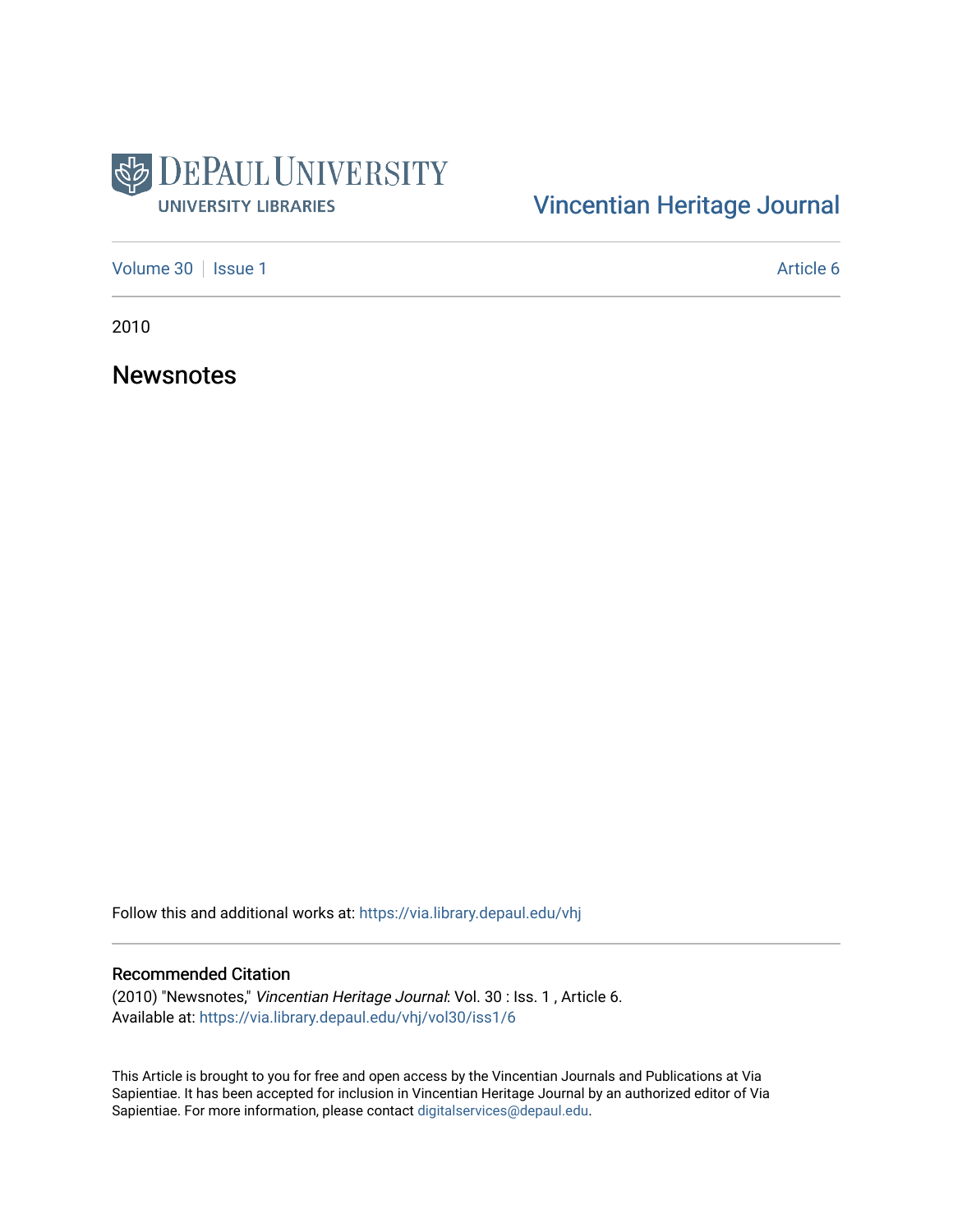

# [Vincentian Heritage Journal](https://via.library.depaul.edu/vhj)

[Volume 30](https://via.library.depaul.edu/vhj/vol30) | [Issue 1](https://via.library.depaul.edu/vhj/vol30/iss1) Article 6

2010

**Newsnotes** 

Follow this and additional works at: [https://via.library.depaul.edu/vhj](https://via.library.depaul.edu/vhj?utm_source=via.library.depaul.edu%2Fvhj%2Fvol30%2Fiss1%2F6&utm_medium=PDF&utm_campaign=PDFCoverPages) 

## Recommended Citation

(2010) "Newsnotes," Vincentian Heritage Journal: Vol. 30 : Iss. 1 , Article 6. Available at: [https://via.library.depaul.edu/vhj/vol30/iss1/6](https://via.library.depaul.edu/vhj/vol30/iss1/6?utm_source=via.library.depaul.edu%2Fvhj%2Fvol30%2Fiss1%2F6&utm_medium=PDF&utm_campaign=PDFCoverPages) 

This Article is brought to you for free and open access by the Vincentian Journals and Publications at Via Sapientiae. It has been accepted for inclusion in Vincentian Heritage Journal by an authorized editor of Via Sapientiae. For more information, please contact [digitalservices@depaul.edu](mailto:digitalservices@depaul.edu).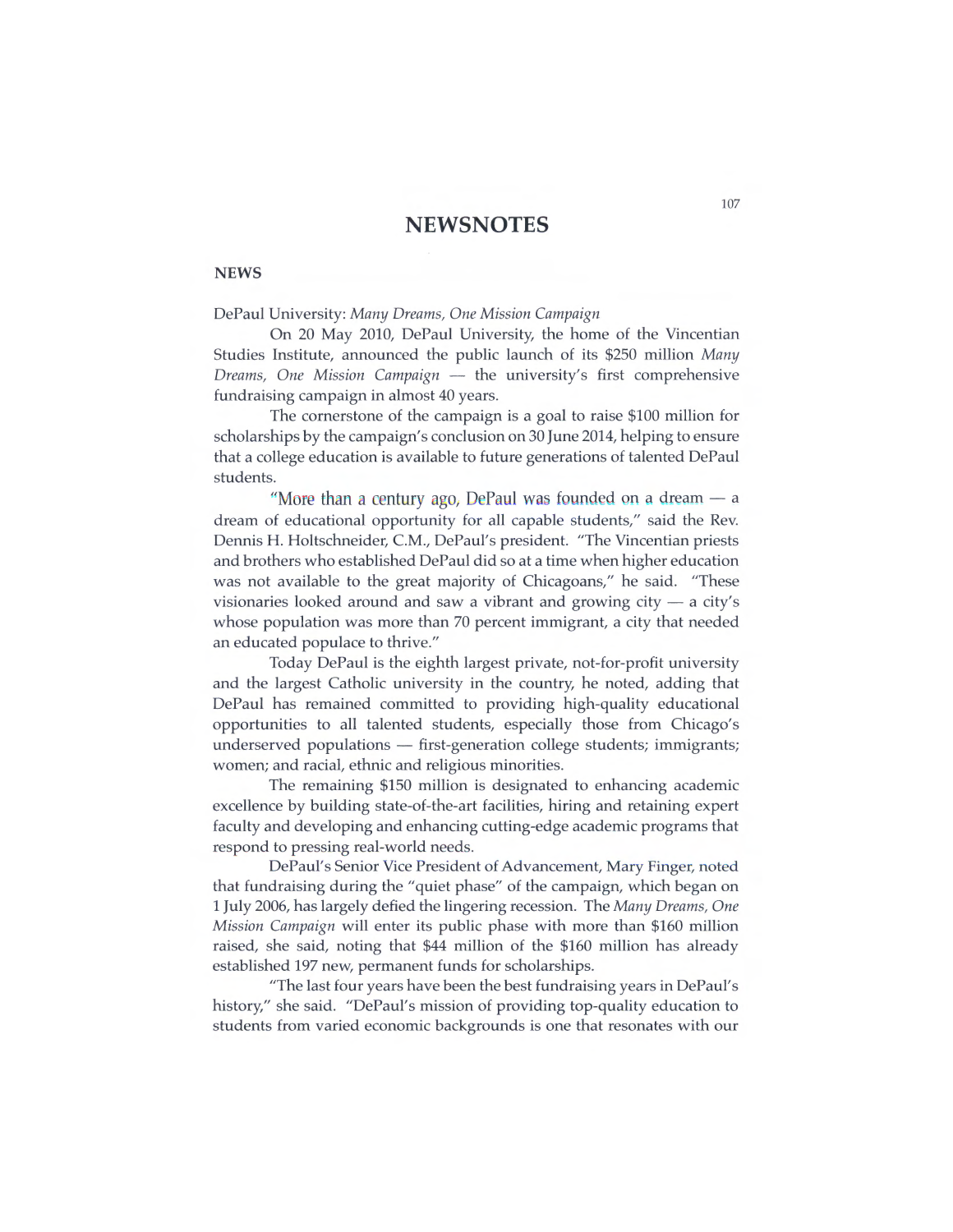## **NEWSNOTES**

### **NEWS**

## DePaul University: *Many Dreams, One Mission Campaign*

On 20 May 2010, DePaul University, the home of the Vincentian Studies Institute, announced the public launch of its \$250 million *Many Dreams, One Mission Campaign -* the university's first comprehensive fundraising campaign in almost 40 years.

The cornerstone of the campaign is a goal to raise \$100 million for scholarships by the campaign's conclusion on 30 June 2014, helping to ensure that a college education is available to future generations of talented DePaul students.

"More than a century ago, DePaul was founded on a dream  $-$  a dream of educational opportunity for all capable students," said the Rev. Dennis H. Holtschneider, C.M., DePaul's president. "The Vincentian priests and brothers who established DePaul did so at a time when higher education was not available to the great majority of Chicagoans," he said. "These visionaries looked around and saw a vibrant and growing city  $-$  a city's whose population was more than 70 percent immigrant, a city that needed an educated populace to thrive."

Today DePaul is the eighth largest private, not-for-profit university and the largest Catholic university in the country, he noted, adding that DePaul has remained committed to providing high-quality educational opportunities to all talented students, especially those from Chicago's underserved populations  $-$  first-generation college students; immigrants; women; and racial, ethnic and religious minorities.

The remaining \$150 million is designated to enhancing academic excellence by building state-of-the-art facilities, hiring and retaining expert faculty and developing and enhancing cutting-edge academic programs that respond to pressing real-world needs.

DePaul's Senior Vice President of Advancement, Mary Finger, noted that fundraising during the "quiet phase" of the campaign, which began on *1 July 2006,* has largely defied the lingering recession. The *Many Dreams, One Mission Campaign will* enter its public phase with more than *\$160* million raised, she said, noting that \$44 million of the *\$160* million has already established 197 new, permanent funds for scholarships.

"The last four years have been the best fundraising years in DePaul's history," she said. "DePaul's mission of providing top-quality education to students from varied economic backgrounds is one that resonates with our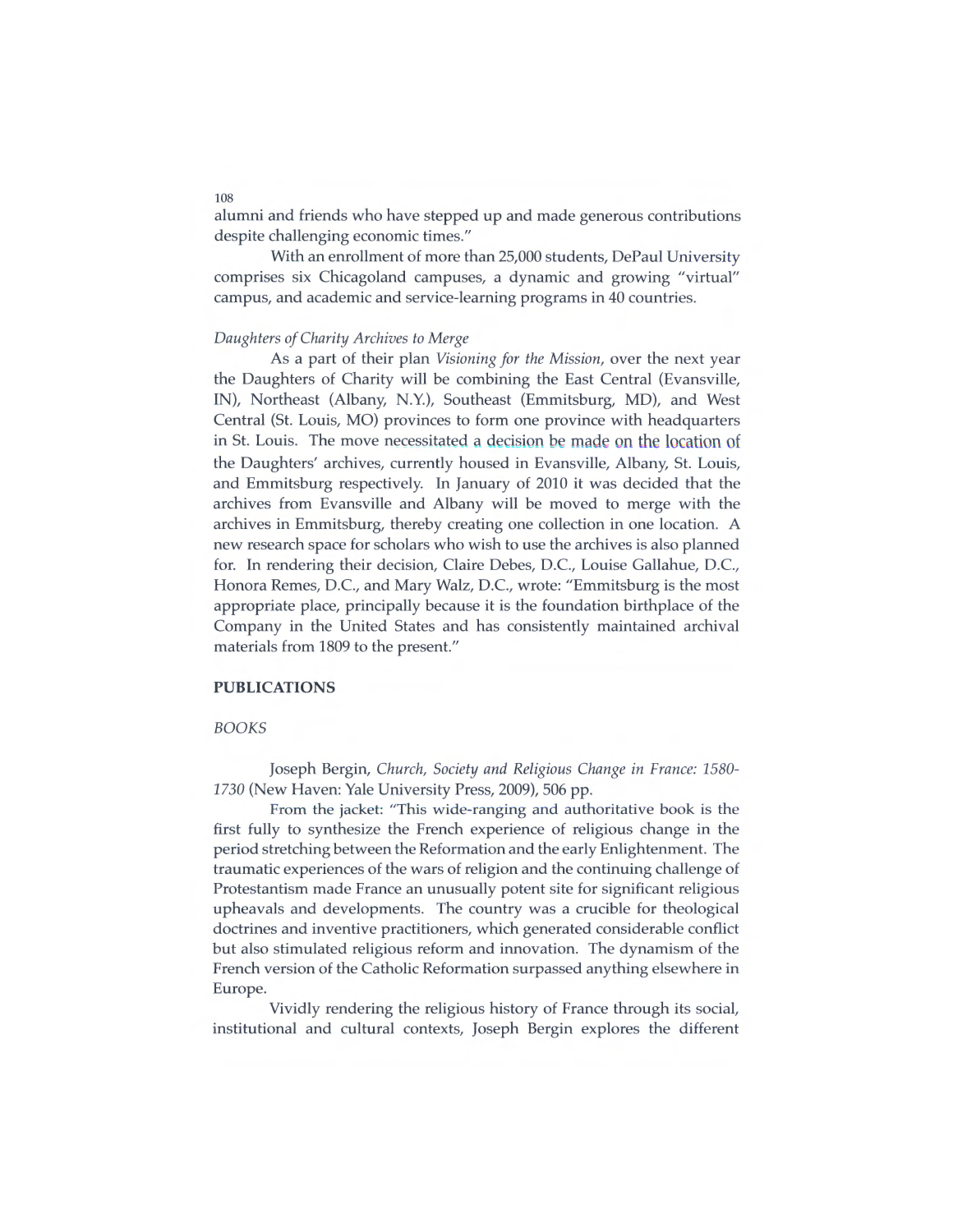alumni and friends who have stepped up and made generous contributions despite challenging economic times."

With an enrollment of more than 25,000 students, DePaul University comprises six Chicagoland campuses, a dynamic and growing "virtual" campus, and academic and service-learning programs in 40 countries.

## *Daughters of Charity Archives to Merge*

As a part of their plan *Visioning for the Mission,* over the next year the Daughters of Charity will be combining the East Central (Evansville, IN), Northeast (Albany, N.Y.), Southeast (Emmitsburg, MD), and West Central (St. Louis, MO) provinces to form one province with headquarters in St. Louis. The move necessitated a decision be made on the location of the Daughters' archives, currently housed in Evansville, Albany, St. Louis, and Emmitsburg respectively. In January of 2010 it was decided that the archives from Evansville and Albany will be moved to merge with the archives in Emmitsburg, thereby creating one collection in one location. A new research space for scholars who wish to use the archives is also planned for. In rendering their decision, Claire Debes, D.C., Louise Gallahue, D.C., Honora Remes, D.C., and Mary Walz, D.C., wrote: "Emmitsburg is the most appropriate place, principally because it is the foundation birthplace of the Company in the United States and has consistently maintained archival materials from 1809 to the present."

#### PUBLICATIONS

### *BOOKS*

Joseph Bergin, *Church, Society and Religious Change in France: 1580-* 1730 (New Haven: Yale University Press, 2009), 506 pp.

From the jacket: "This wide-ranging and authoritative book is the first fully to synthesize the French experience of religious change in the period stretching between the Reformation and the early Enlightenment. The traumatic experiences of the wars of religion and the continuing challenge of Protestantism made France an unusually potent site for significant religious upheavals and developments. The country was a crucible for theological doctrines and inventive practitioners, which generated considerable conflict but also stimulated religious reform and innovation. The dynamism of the French version of the Catholic Reformation surpassed anything elsewhere in Europe.

Vividly rendering the religious history of France through its social, institutional and cultural contexts, Joseph Bergin explores the different

108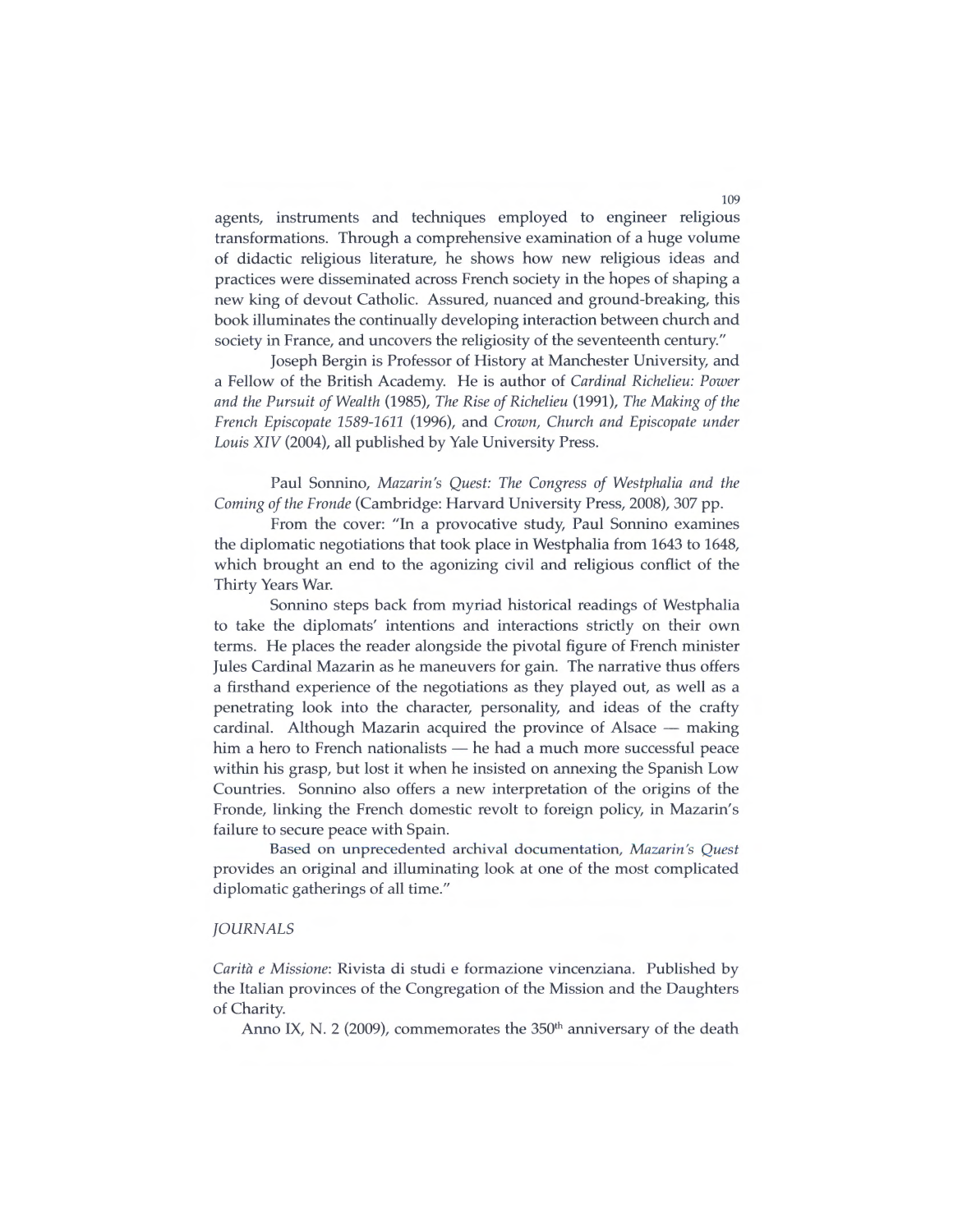agents, instruments and techniques employed to engineer religious transformations. Through a comprehensive examination of a huge volume of didactic religious literature, he shows how new religious ideas and practices were disseminated across French society in the hopes of shaping a new king of devout Catholic. Assured, nuanced and ground-breaking, this book illuminates the continually developing interaction between church and society in France, and uncovers the religiosity of the seventeenth century."

Joseph Bergin is Professor of History at Manchester University, and a Fellow of the British Academy. He is author of *Cardinal Richelieu: Power and the Pursuit* of *Wealth* (1985), *The Rise* of *Richelieu* (1991), *The Making* of *the French Episcopate 1589-1611* (1996), and *Crown, Church and Episcopate under*  Louis XIV (2004), all published by Yale University Press.

Paul Sonnino, *Mazarin's Quest: The Congress* of *Westphalia and the Coming* of *the Fronde* (Cambridge: Harvard University Press, 2008), 307 pp.

From the cover: "In a provocative study, Paul Sonnino examines the diplomatic negotiations that took place in Westphalia from 1643 to 1648, which brought an end to the agonizing civil and religious conflict of the Thirty Years War.

Sonnino steps back from myriad historical readings of Westphalia to take the diplomats' intentions and interactions strictly on their own terms. He places the reader alongside the pivotal figure of French minister Jules Cardinal Mazarin as he maneuvers for gain. The narrative thus offers a firsthand experience of the negotiations as they played out, as well as a penetrating look into the character, personality, and ideas of the crafty cardinal. Although Mazarin acquired the province of Alsace - making him a hero to French nationalists - he had a much more successful peace within his grasp, but lost it when he insisted on annexing the Spanish Low Countries. Sonnino also offers a new interpretation of the origins of the Fronde, linking the French domestic revolt to foreign policy, in Mazarin's failure to secure peace with Spain.

Based on unprecedented archival documentation, *Mazarin's Quest*  provides an original and illuminating look at one of the most complicated diplomatic gatherings of all time."

#### *JOURNALS*

*Caritä e Missione:* Rivista di studi e formazione vincenziana. Published by the Italian provinces of the Congregation of the Mission and the Daughters of Charity.

Anno IX, N. 2 (2009), commemorates the 350<sup>th</sup> anniversary of the death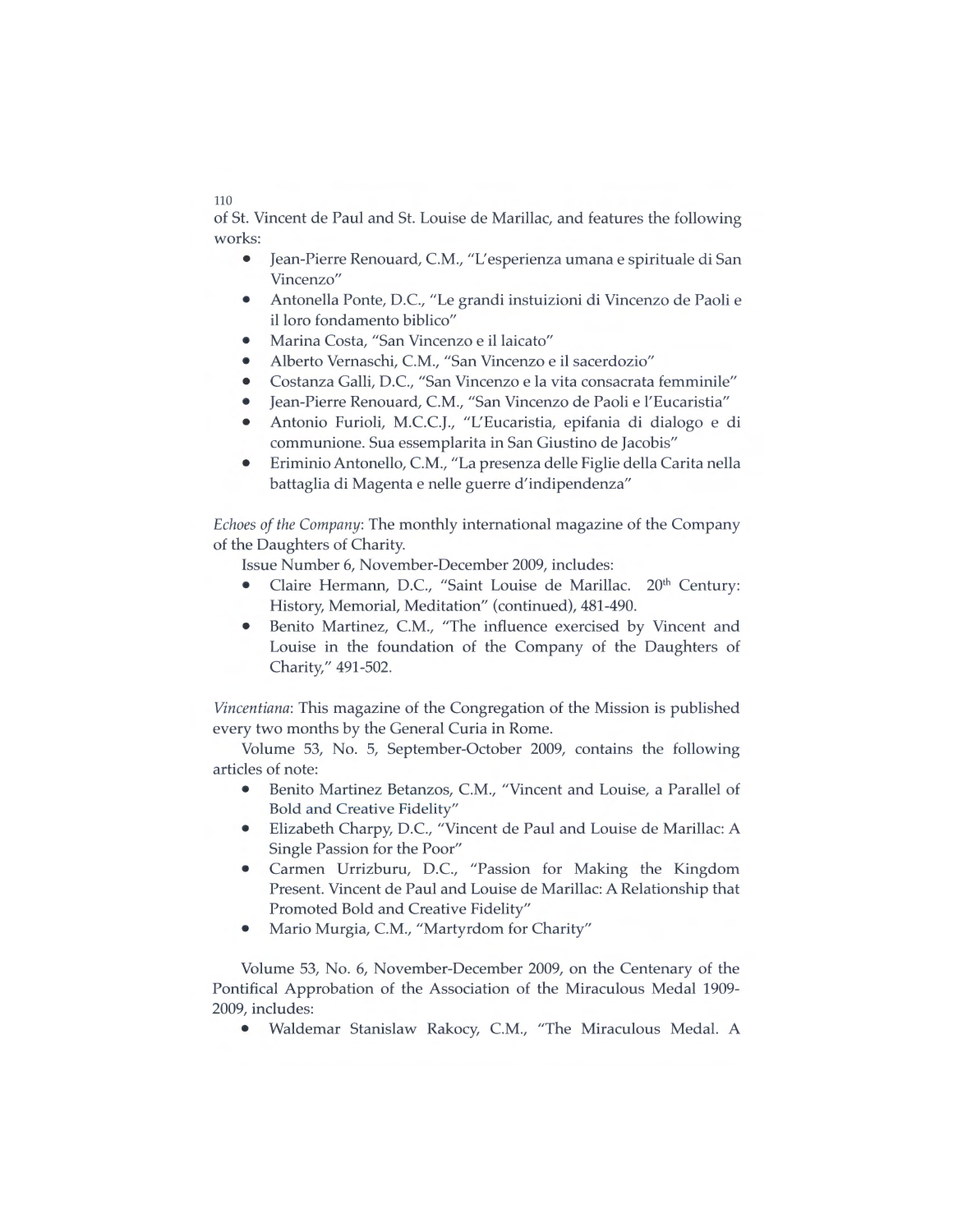110

of St. Vincent de Paul and St. Louise de Marillac, and features the following works:

- Jean-Pierre Renouard, C.M., "L'esperienza umana e spirituale di San Vincenzo"
- Antonella Ponte, D.C., "Le grandi instuizioni di Vincenzo de Paoli e il loro fondamento biblico"
- Marina Costa, "San Vincenzo e il laicato"
- Alberto Vernaschi, C.M., "San Vincenzo e il sacerdozio"
- Costanza Galli, D.C., "San Vincenzo e la vita consacrata femminile"
- Jean-Pierre Renouard, C.M., "San Vincenzo de Paoli e l'Eucaristia"
- Antonio Furioli, M.C.C.J., "L'Eucaristia, epifania di dialogo e di communione. Sua essemplarita in San Giustino de Jacobis"
- Eriminio Antonello, C.M., "La presenza delle Figlie della Carita nella battaglia di Magenta e nelle guerre d'indipendenza"

*Echoes* of *the Company:* The monthly international magazine of the Company of the Daughters of Charity.

Issue Number 6, November-December *2009,* includes:

- Claire Hermann, D.C., "Saint Louise de Marillac. *20th* Century: History, Memorial, Meditation" (continued), *481-490.*
- Benito Martinez, C.M., "The influence exercised by Vincent and Louise in the foundation of the Company of the Daughters of Charity," *491-502.*

*Vincentiana:* This magazine of the Congregation of the Mission is published every two months by the General Curia in Rome.

Volume *53, No. 5,* September-October *2009,* contains the following articles of note:

- Benito Martinez Betanzos, C.M., "Vincent and Louise, a Parallel of Bold and Creative Fidelity"
- Elizabeth Charpy, D.C., "Vincent de Paul and Louise de Marillac: A Single Passion for the Poor"
- Carmen Urrizburu, D.C., "Passion for Making the Kingdom Present. Vincent de Paul and Louise de Marillac: A Relationship that Promoted Bold and Creative Fidelity"
- Mario Murgia, C.M., "Martyrdom for Charity"

Volume *53,* No. 6, November-December *2009,* on the Centenary of the Pontifical Approbation of the Association of the Miraculous Medal *1909- 2009,* includes:

• Waldemar Stanislaw Rakocy, C.M., "The Miraculous Medal. A